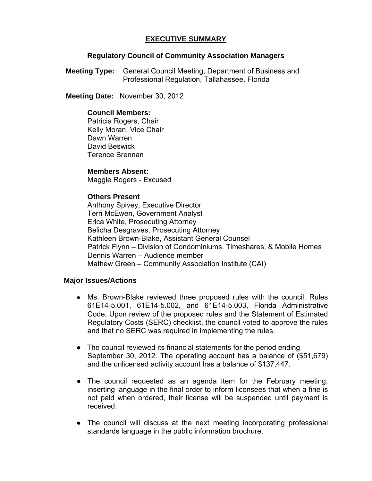# **EXECUTIVE SUMMARY**

## **Regulatory Council of Community Association Managers**

**Meeting Type:** General Council Meeting, Department of Business and Professional Regulation, Tallahassee, Florida

 **Meeting Date:** November 30, 2012

# **Council Members:**

Patricia Rogers, Chair Kelly Moran, Vice Chair Dawn Warren David Beswick Terence Brennan

## **Members Absent:**

Maggie Rogers - Excused

# **Others Present**

Anthony Spivey, Executive Director Terri McEwen, Government Analyst Erica White, Prosecuting Attorney Belicha Desgraves, Prosecuting Attorney Kathleen Brown-Blake, Assistant General Counsel Patrick Flynn – Division of Condominiums, Timeshares, & Mobile Homes Dennis Warren – Audience member Mathew Green – Community Association Institute (CAI)

## **Major Issues/Actions**

- Ms. Brown-Blake reviewed three proposed rules with the council. Rules 61E14-5.001, 61E14-5.002, and 61E14-5.003, Florida Administrative Code. Upon review of the proposed rules and the Statement of Estimated Regulatory Costs (SERC) checklist, the council voted to approve the rules and that no SERC was required in implementing the rules.
- The council reviewed its financial statements for the period ending September 30, 2012. The operating account has a balance of (\$51,679) and the unlicensed activity account has a balance of \$137,447.
- The council requested as an agenda item for the February meeting, inserting language in the final order to inform licensees that when a fine is not paid when ordered, their license will be suspended until payment is received.
- The council will discuss at the next meeting incorporating professional standards language in the public information brochure.